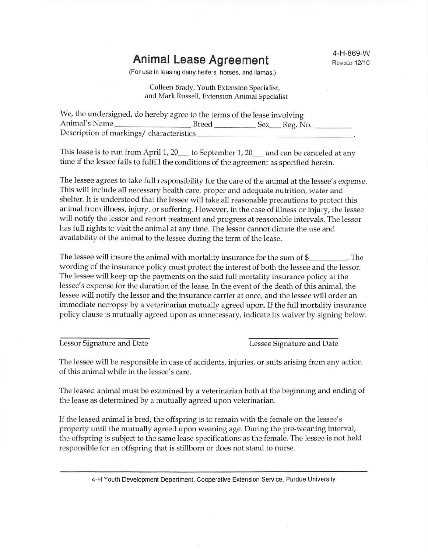## **Animal Lease Agreement**

(For use in leasing dairy heifers, horses, and llamas.)

Colleen Brady, Youth Extension Specialist, and Mark Russell, Extension Animal Specialist

| We, the undersigned, do hereby agree to the terms of the lease involving |       |                 |  |
|--------------------------------------------------------------------------|-------|-----------------|--|
| Animal's Name                                                            | Breed | _Sex___Reg. No. |  |
| Description of markings/ characteristics                                 |       |                 |  |

This lease is to run from April 1, 20\_\_\_ to September 1, 20\_\_\_ and can be canceled at any time if the lessee fails to fulfill the conditions of the agreement as specified herein.

The lessee agrees to take full responsibility for the care of the animal at the lessee's expense. This will include all necessary health care, proper and adequate nutrition, water and shelter. It is understood that the lessee will take all reasonable precautions to protect this animal from illness, injury, or suffering. However, in the case of illness or injury, the lessee will notify the lessor and report treatment and progress at reasonable intervals. The lessor has full rights to visit the animal at any time. The lessor cannot dictate the use and availability of the animal to the lessee during the term of the lease.

The lessee will insure the animal with mortality insurance for the sum of  $\frac{1}{2}$  . The wording of the insurance policy must protect the interest of both the lessee and the lessor. The lessee will keep up the payments on the said full mortality insurance policy at the lessee's expense for the duration of the lease. In the event of the death of this animal, the lessee will notify the lessor and the insurance carrier at once, and the lessee will order an immediate necropsy by a veterinarian mutually agreed upon. If the full mortality insurance policy clause is mutually agreed upon as unnecessary, indicate its waiver by signing below.

Lessor Signature and Date **Lessor** Signature and Date

The lessee will be responsible in case of accidents, injuries, or suits arising from any action of this animal while in the lessee's care.

The leased animal must be examined by a veterinarian both at the beginning and ending of the lease as determined by a mutually agreed upon veterinarian.

If the leased animal is bred, the offspring is to remain with the female on the lessee's property until the mutually agreed upon weaning age. During the pre-weaning interval, the offspring is subject to the same lease specifications as the female. The lessee is not held responsible for an offspring that is stillborn or does not stand to nurse.

4-H Youth Development Department, Cooperative Extension Service, Purdue University